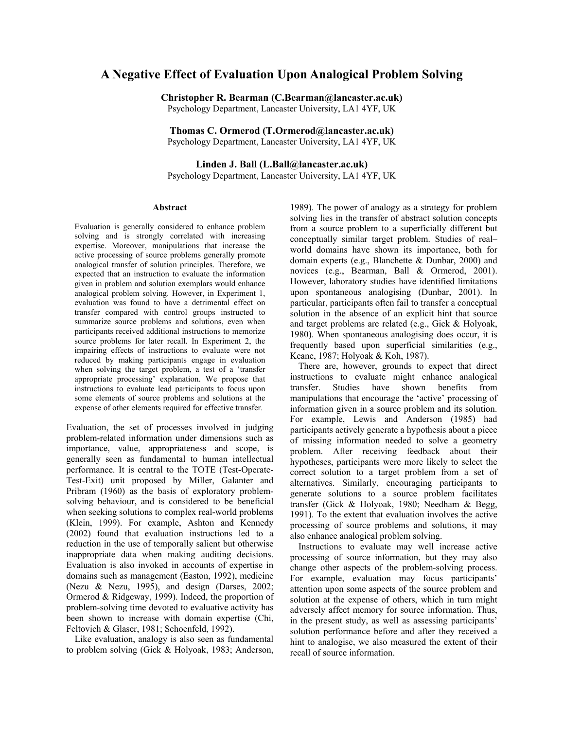# **A Negative Effect of Evaluation Upon Analogical Problem Solving**

**Christopher R. Bearman (C.Bearman@lancaster.ac.uk)**  Psychology Department, Lancaster University, LA1 4YF, UK

**Thomas C. Ormerod (T.Ormerod@lancaster.ac.uk)**  Psychology Department, Lancaster University, LA1 4YF, UK

**Linden J. Ball (L.Ball@lancaster.ac.uk)**  Psychology Department, Lancaster University, LA1 4YF, UK

#### **Abstract**

Evaluation is generally considered to enhance problem solving and is strongly correlated with increasing expertise. Moreover, manipulations that increase the active processing of source problems generally promote analogical transfer of solution principles. Therefore, we expected that an instruction to evaluate the information given in problem and solution exemplars would enhance analogical problem solving. However, in Experiment 1, evaluation was found to have a detrimental effect on transfer compared with control groups instructed to summarize source problems and solutions, even when participants received additional instructions to memorize source problems for later recall. In Experiment 2, the impairing effects of instructions to evaluate were not reduced by making participants engage in evaluation when solving the target problem, a test of a 'transfer appropriate processing' explanation. We propose that instructions to evaluate lead participants to focus upon some elements of source problems and solutions at the expense of other elements required for effective transfer.

Evaluation, the set of processes involved in judging problem-related information under dimensions such as importance, value, appropriateness and scope, is generally seen as fundamental to human intellectual performance. It is central to the TOTE (Test-Operate-Test-Exit) unit proposed by Miller, Galanter and Pribram (1960) as the basis of exploratory problemsolving behaviour, and is considered to be beneficial when seeking solutions to complex real-world problems (Klein, 1999). For example, Ashton and Kennedy (2002) found that evaluation instructions led to a reduction in the use of temporally salient but otherwise inappropriate data when making auditing decisions. Evaluation is also invoked in accounts of expertise in domains such as management (Easton, 1992), medicine (Nezu & Nezu, 1995), and design (Darses, 2002; Ormerod & Ridgeway, 1999). Indeed, the proportion of problem-solving time devoted to evaluative activity has been shown to increase with domain expertise (Chi, Feltovich & Glaser, 1981; Schoenfeld, 1992).

Like evaluation, analogy is also seen as fundamental to problem solving (Gick & Holyoak, 1983; Anderson,

1989). The power of analogy as a strategy for problem solving lies in the transfer of abstract solution concepts from a source problem to a superficially different but conceptually similar target problem. Studies of real– world domains have shown its importance, both for domain experts (e.g., Blanchette & Dunbar, 2000) and novices (e.g., Bearman, Ball & Ormerod, 2001). However, laboratory studies have identified limitations upon spontaneous analogising (Dunbar, 2001). In particular, participants often fail to transfer a conceptual solution in the absence of an explicit hint that source and target problems are related (e.g., Gick & Holyoak, 1980). When spontaneous analogising does occur, it is frequently based upon superficial similarities (e.g., Keane, 1987; Holyoak & Koh, 1987).

There are, however, grounds to expect that direct instructions to evaluate might enhance analogical transfer. Studies have shown benefits from manipulations that encourage the 'active' processing of information given in a source problem and its solution. For example, Lewis and Anderson (1985) had participants actively generate a hypothesis about a piece of missing information needed to solve a geometry problem. After receiving feedback about their hypotheses, participants were more likely to select the correct solution to a target problem from a set of alternatives. Similarly, encouraging participants to generate solutions to a source problem facilitates transfer (Gick & Holyoak, 1980; Needham & Begg, 1991). To the extent that evaluation involves the active processing of source problems and solutions, it may also enhance analogical problem solving.

Instructions to evaluate may well increase active processing of source information, but they may also change other aspects of the problem-solving process. For example, evaluation may focus participants' attention upon some aspects of the source problem and solution at the expense of others, which in turn might adversely affect memory for source information. Thus, in the present study, as well as assessing participants' solution performance before and after they received a hint to analogise, we also measured the extent of their recall of source information.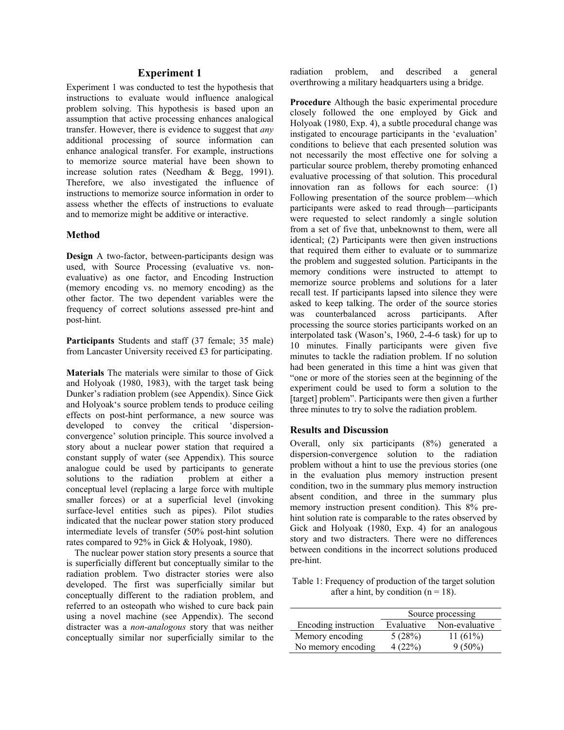## **Experiment 1**

Experiment 1 was conducted to test the hypothesis that instructions to evaluate would influence analogical problem solving. This hypothesis is based upon an assumption that active processing enhances analogical transfer. However, there is evidence to suggest that *any* additional processing of source information can enhance analogical transfer. For example, instructions to memorize source material have been shown to increase solution rates (Needham & Begg, 1991). Therefore, we also investigated the influence of instructions to memorize source information in order to assess whether the effects of instructions to evaluate and to memorize might be additive or interactive.

### **Method**

**Design** A two-factor, between-participants design was used, with Source Processing (evaluative vs. nonevaluative) as one factor, and Encoding Instruction (memory encoding vs. no memory encoding) as the other factor. The two dependent variables were the frequency of correct solutions assessed pre-hint and post-hint.

**Participants** Students and staff (37 female; 35 male) from Lancaster University received £3 for participating.

**Materials** The materials were similar to those of Gick and Holyoak (1980, 1983), with the target task being Dunker's radiation problem (see Appendix). Since Gick and Holyoak's source problem tends to produce ceiling effects on post-hint performance, a new source was developed to convey the critical 'dispersionconvergence' solution principle. This source involved a story about a nuclear power station that required a constant supply of water (see Appendix). This source analogue could be used by participants to generate solutions to the radiation problem at either a conceptual level (replacing a large force with multiple smaller forces) or at a superficial level (invoking surface-level entities such as pipes). Pilot studies indicated that the nuclear power station story produced intermediate levels of transfer (50% post-hint solution rates compared to 92% in Gick & Holyoak, 1980).

The nuclear power station story presents a source that is superficially different but conceptually similar to the radiation problem. Two distracter stories were also developed. The first was superficially similar but conceptually different to the radiation problem, and referred to an osteopath who wished to cure back pain using a novel machine (see Appendix). The second distracter was a *non-analogous* story that was neither conceptually similar nor superficially similar to the radiation problem, and described a general overthrowing a military headquarters using a bridge.

**Procedure** Although the basic experimental procedure closely followed the one employed by Gick and Holyoak (1980, Exp. 4), a subtle procedural change was instigated to encourage participants in the 'evaluation' conditions to believe that each presented solution was not necessarily the most effective one for solving a particular source problem, thereby promoting enhanced evaluative processing of that solution. This procedural innovation ran as follows for each source: (1) Following presentation of the source problem—which participants were asked to read through—participants were requested to select randomly a single solution from a set of five that, unbeknownst to them, were all identical; (2) Participants were then given instructions that required them either to evaluate or to summarize the problem and suggested solution. Participants in the memory conditions were instructed to attempt to memorize source problems and solutions for a later recall test. If participants lapsed into silence they were asked to keep talking. The order of the source stories was counterbalanced across participants. After processing the source stories participants worked on an interpolated task (Wason's, 1960, 2-4-6 task) for up to 10 minutes. Finally participants were given five minutes to tackle the radiation problem. If no solution had been generated in this time a hint was given that "one or more of the stories seen at the beginning of the experiment could be used to form a solution to the [target] problem". Participants were then given a further three minutes to try to solve the radiation problem.

### **Results and Discussion**

Overall, only six participants (8%) generated a dispersion-convergence solution to the radiation problem without a hint to use the previous stories (one in the evaluation plus memory instruction present condition, two in the summary plus memory instruction absent condition, and three in the summary plus memory instruction present condition). This 8% prehint solution rate is comparable to the rates observed by Gick and Holyoak (1980, Exp. 4) for an analogous story and two distracters. There were no differences between conditions in the incorrect solutions produced pre-hint.

Table 1: Frequency of production of the target solution after a hint, by condition  $(n = 18)$ .

|                      | Source processing |                |
|----------------------|-------------------|----------------|
| Encoding instruction | Evaluative        | Non-evaluative |
| Memory encoding      | 5(28%)            | 11 $(61%)$     |
| No memory encoding   | 4(22%)            | $9(50\%)$      |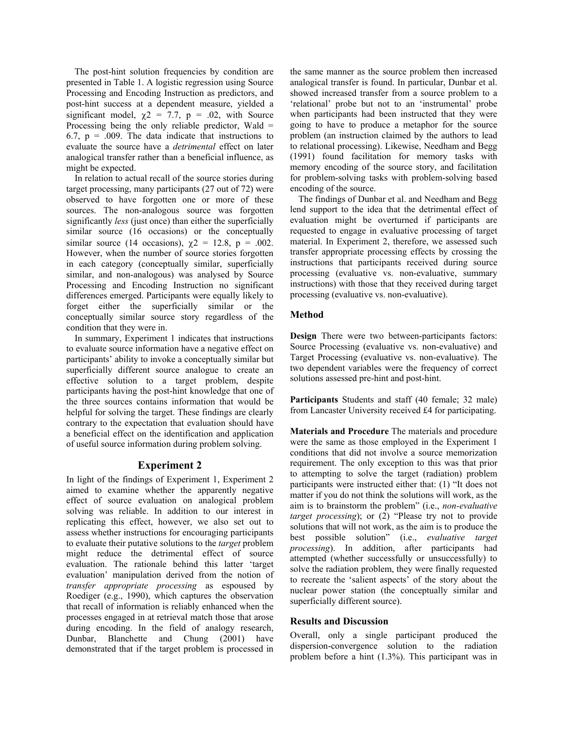The post-hint solution frequencies by condition are presented in Table 1. A logistic regression using Source Processing and Encoding Instruction as predictors, and post-hint success at a dependent measure, yielded a significant model,  $\chi$ 2 = 7.7, p = .02, with Source Processing being the only reliable predictor, Wald = 6.7,  $p = .009$ . The data indicate that instructions to evaluate the source have a *detrimental* effect on later analogical transfer rather than a beneficial influence, as might be expected.

In relation to actual recall of the source stories during target processing, many participants (27 out of 72) were observed to have forgotten one or more of these sources. The non-analogous source was forgotten significantly *less* (just once) than either the superficially similar source (16 occasions) or the conceptually similar source (14 occasions),  $\chi$ 2 = 12.8, p = .002. However, when the number of source stories forgotten in each category (conceptually similar, superficially similar, and non-analogous) was analysed by Source Processing and Encoding Instruction no significant differences emerged. Participants were equally likely to forget either the superficially similar or the conceptually similar source story regardless of the condition that they were in.

In summary, Experiment 1 indicates that instructions to evaluate source information have a negative effect on participants' ability to invoke a conceptually similar but superficially different source analogue to create an effective solution to a target problem, despite participants having the post-hint knowledge that one of the three sources contains information that would be helpful for solving the target. These findings are clearly contrary to the expectation that evaluation should have a beneficial effect on the identification and application of useful source information during problem solving.

# **Experiment 2**

In light of the findings of Experiment 1, Experiment 2 aimed to examine whether the apparently negative effect of source evaluation on analogical problem solving was reliable. In addition to our interest in replicating this effect, however, we also set out to assess whether instructions for encouraging participants to evaluate their putative solutions to the *target* problem might reduce the detrimental effect of source evaluation. The rationale behind this latter 'target evaluation' manipulation derived from the notion of *transfer appropriate processing* as espoused by Roediger (e.g., 1990), which captures the observation that recall of information is reliably enhanced when the processes engaged in at retrieval match those that arose during encoding. In the field of analogy research, Dunbar, Blanchette and Chung (2001) have demonstrated that if the target problem is processed in

the same manner as the source problem then increased analogical transfer is found. In particular, Dunbar et al. showed increased transfer from a source problem to a 'relational' probe but not to an 'instrumental' probe when participants had been instructed that they were going to have to produce a metaphor for the source problem (an instruction claimed by the authors to lead to relational processing). Likewise, Needham and Begg (1991) found facilitation for memory tasks with memory encoding of the source story, and facilitation for problem-solving tasks with problem-solving based encoding of the source.

The findings of Dunbar et al. and Needham and Begg lend support to the idea that the detrimental effect of evaluation might be overturned if participants are requested to engage in evaluative processing of target material. In Experiment 2, therefore, we assessed such transfer appropriate processing effects by crossing the instructions that participants received during source processing (evaluative vs. non-evaluative, summary instructions) with those that they received during target processing (evaluative vs. non-evaluative).

# **Method**

**Design** There were two between-participants factors: Source Processing (evaluative vs. non-evaluative) and Target Processing (evaluative vs. non-evaluative). The two dependent variables were the frequency of correct solutions assessed pre-hint and post-hint.

**Participants** Students and staff (40 female; 32 male) from Lancaster University received £4 for participating.

**Materials and Procedure** The materials and procedure were the same as those employed in the Experiment 1 conditions that did not involve a source memorization requirement. The only exception to this was that prior to attempting to solve the target (radiation) problem participants were instructed either that: (1) "It does not matter if you do not think the solutions will work, as the aim is to brainstorm the problem" (i.e., *non-evaluative target processing*); or (2) "Please try not to provide solutions that will not work, as the aim is to produce the best possible solution" (i.e., *evaluative target processing*). In addition, after participants had attempted (whether successfully or unsuccessfully) to solve the radiation problem, they were finally requested to recreate the 'salient aspects' of the story about the nuclear power station (the conceptually similar and superficially different source).

## **Results and Discussion**

Overall, only a single participant produced the dispersion-convergence solution to the radiation problem before a hint (1.3%). This participant was in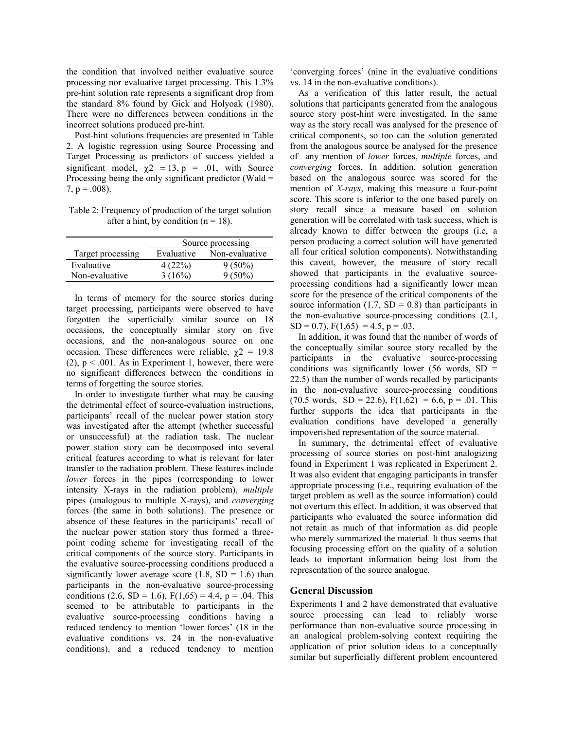the condition that involved neither evaluative source processing nor evaluative target processing. This 1.3% pre-hint solution rate represents a significant drop from the standard 8% found by Gick and Holyoak (1980). There were no differences between conditions in the incorrect solutions produced pre-hint.

Post-hint solutions frequencies are presented in Table 2. A logistic regression using Source Processing and Target Processing as predictors of success yielded a significant model,  $\chi^2 = 13$ ,  $p = .01$ , with Source Processing being the only significant predictor (Wald =  $7, p = .008$ ).

Table 2: Frequency of production of the target solution after a hint, by condition  $(n = 18)$ .

|                   | Source processing |                |
|-------------------|-------------------|----------------|
| Target processing | Evaluative        | Non-evaluative |
| Evaluative        | 4(22%)            | $9(50\%)$      |
| Non-evaluative    | 3(16%)            | $9(50\%)$      |

In terms of memory for the source stories during target processing, participants were observed to have forgotten the superficially similar source on 18 occasions, the conceptually similar story on five occasions, and the non-analogous source on one occasion. These differences were reliable,  $\gamma$ 2 = 19.8 (2),  $p < .001$ . As in Experiment 1, however, there were no significant differences between the conditions in terms of forgetting the source stories.

In order to investigate further what may be causing the detrimental effect of source-evaluation instructions, participants' recall of the nuclear power station story was investigated after the attempt (whether successful or unsuccessful) at the radiation task. The nuclear power station story can be decomposed into several critical features according to what is relevant for later transfer to the radiation problem. These features include *lower* forces in the pipes (corresponding to lower intensity X-rays in the radiation problem), *multiple* pipes (analogous to multiple X-rays), and *converging* forces (the same in both solutions). The presence or absence of these features in the participants' recall of the nuclear power station story thus formed a threepoint coding scheme for investigating recall of the critical components of the source story. Participants in the evaluative source-processing conditions produced a significantly lower average score  $(1.8, SD = 1.6)$  than participants in the non-evaluative source-processing conditions (2.6, SD = 1.6),  $F(1,65) = 4.4$ , p = .04. This seemed to be attributable to participants in the evaluative source-processing conditions having a reduced tendency to mention 'lower forces' (18 in the evaluative conditions vs. 24 in the non-evaluative conditions), and a reduced tendency to mention

'converging forces' (nine in the evaluative conditions vs. 14 in the non-evaluative conditions).

As a verification of this latter result, the actual solutions that participants generated from the analogous source story post-hint were investigated. In the same way as the story recall was analysed for the presence of critical components, so too can the solution generated from the analogous source be analysed for the presence of any mention of *lower* forces, *multiple* forces, and *converging* forces. In addition, solution generation based on the analogous source was scored for the mention of *X-rays*, making this measure a four-point score. This score is inferior to the one based purely on story recall since a measure based on solution generation will be correlated with task success, which is already known to differ between the groups (i.e, a person producing a correct solution will have generated all four critical solution components). Notwithstanding this caveat, however, the measure of story recall showed that participants in the evaluative sourceprocessing conditions had a significantly lower mean score for the presence of the critical components of the source information (1.7,  $SD = 0.8$ ) than participants in the non-evaluative source-processing conditions (2.1,  $SD = 0.7$ ,  $F(1,65) = 4.5$ ,  $p = .03$ .

In addition, it was found that the number of words of the conceptually similar source story recalled by the participants in the evaluative source-processing conditions was significantly lower (56 words,  $SD =$ 22.5) than the number of words recalled by participants in the non-evaluative source-processing conditions  $(70.5 \text{ words}, SD = 22.6), F(1,62) = 6.6, p = .01$ . This further supports the idea that participants in the evaluation conditions have developed a generally impoverished representation of the source material.

In summary, the detrimental effect of evaluative processing of source stories on post-hint analogizing found in Experiment 1 was replicated in Experiment 2. It was also evident that engaging participants in transfer appropriate processing (i.e., requiring evaluation of the target problem as well as the source information) could not overturn this effect. In addition, it was observed that participants who evaluated the source information did not retain as much of that information as did people who merely summarized the material. It thus seems that focusing processing effort on the quality of a solution leads to important information being lost from the representation of the source analogue.

### **General Discussion**

Experiments 1 and 2 have demonstrated that evaluative source processing can lead to reliably worse performance than non-evaluative source processing in an analogical problem-solving context requiring the application of prior solution ideas to a conceptually similar but superficially different problem encountered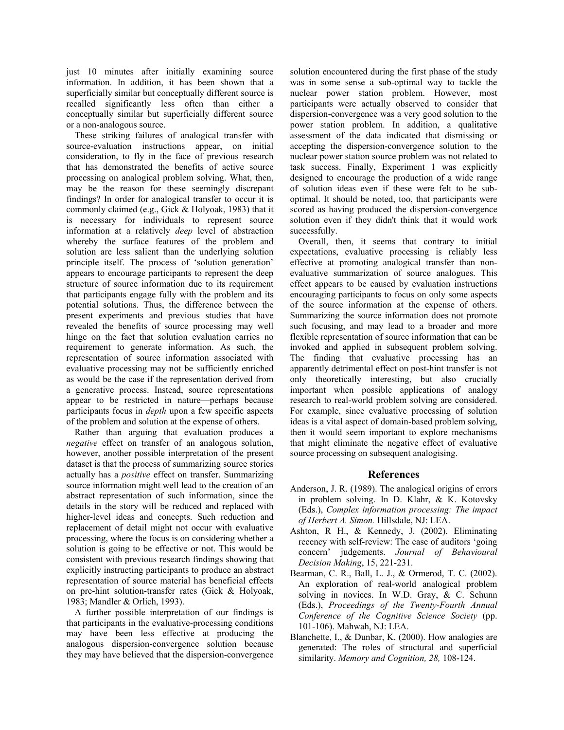just 10 minutes after initially examining source information. In addition, it has been shown that a superficially similar but conceptually different source is recalled significantly less often than either a conceptually similar but superficially different source or a non-analogous source.

These striking failures of analogical transfer with source-evaluation instructions appear, on initial consideration, to fly in the face of previous research that has demonstrated the benefits of active source processing on analogical problem solving. What, then, may be the reason for these seemingly discrepant findings? In order for analogical transfer to occur it is commonly claimed (e.g., Gick & Holyoak, 1983) that it is necessary for individuals to represent source information at a relatively *deep* level of abstraction whereby the surface features of the problem and solution are less salient than the underlying solution principle itself. The process of 'solution generation' appears to encourage participants to represent the deep structure of source information due to its requirement that participants engage fully with the problem and its potential solutions. Thus, the difference between the present experiments and previous studies that have revealed the benefits of source processing may well hinge on the fact that solution evaluation carries no requirement to generate information. As such, the representation of source information associated with evaluative processing may not be sufficiently enriched as would be the case if the representation derived from a generative process. Instead, source representations appear to be restricted in nature—perhaps because participants focus in *depth* upon a few specific aspects of the problem and solution at the expense of others.

Rather than arguing that evaluation produces a *negative* effect on transfer of an analogous solution, however, another possible interpretation of the present dataset is that the process of summarizing source stories actually has a *positive* effect on transfer. Summarizing source information might well lead to the creation of an abstract representation of such information, since the details in the story will be reduced and replaced with higher-level ideas and concepts. Such reduction and replacement of detail might not occur with evaluative processing, where the focus is on considering whether a solution is going to be effective or not. This would be consistent with previous research findings showing that explicitly instructing participants to produce an abstract representation of source material has beneficial effects on pre-hint solution-transfer rates (Gick & Holyoak, 1983; Mandler & Orlich, 1993).

A further possible interpretation of our findings is that participants in the evaluative-processing conditions may have been less effective at producing the analogous dispersion-convergence solution because they may have believed that the dispersion-convergence solution encountered during the first phase of the study was in some sense a sub-optimal way to tackle the nuclear power station problem. However, most participants were actually observed to consider that dispersion-convergence was a very good solution to the power station problem. In addition, a qualitative assessment of the data indicated that dismissing or accepting the dispersion-convergence solution to the nuclear power station source problem was not related to task success. Finally, Experiment 1 was explicitly designed to encourage the production of a wide range of solution ideas even if these were felt to be suboptimal. It should be noted, too, that participants were scored as having produced the dispersion-convergence solution even if they didn't think that it would work successfully.

Overall, then, it seems that contrary to initial expectations, evaluative processing is reliably less effective at promoting analogical transfer than nonevaluative summarization of source analogues. This effect appears to be caused by evaluation instructions encouraging participants to focus on only some aspects of the source information at the expense of others. Summarizing the source information does not promote such focusing, and may lead to a broader and more flexible representation of source information that can be invoked and applied in subsequent problem solving. The finding that evaluative processing has an apparently detrimental effect on post-hint transfer is not only theoretically interesting, but also crucially important when possible applications of analogy research to real-world problem solving are considered. For example, since evaluative processing of solution ideas is a vital aspect of domain-based problem solving, then it would seem important to explore mechanisms that might eliminate the negative effect of evaluative source processing on subsequent analogising.

## **References**

- Anderson, J. R. (1989). The analogical origins of errors in problem solving. In D. Klahr, & K. Kotovsky (Eds.), *Complex information processing: The impact of Herbert A. Simon.* Hillsdale, NJ: LEA.
- Ashton, R H., & Kennedy, J. (2002). Eliminating recency with self-review: The case of auditors 'going concern' judgements. *Journal of Behavioural Decision Making*, 15, 221-231.
- Bearman, C. R., Ball, L. J., & Ormerod, T. C. (2002). An exploration of real-world analogical problem solving in novices. In W.D. Gray, & C. Schunn (Eds.), *Proceedings of the Twenty-Fourth Annual Conference of the Cognitive Science Society* (pp. 101-106). Mahwah, NJ: LEA.
- Blanchette, I., & Dunbar, K. (2000). How analogies are generated: The roles of structural and superficial similarity. *Memory and Cognition, 28,* 108-124.